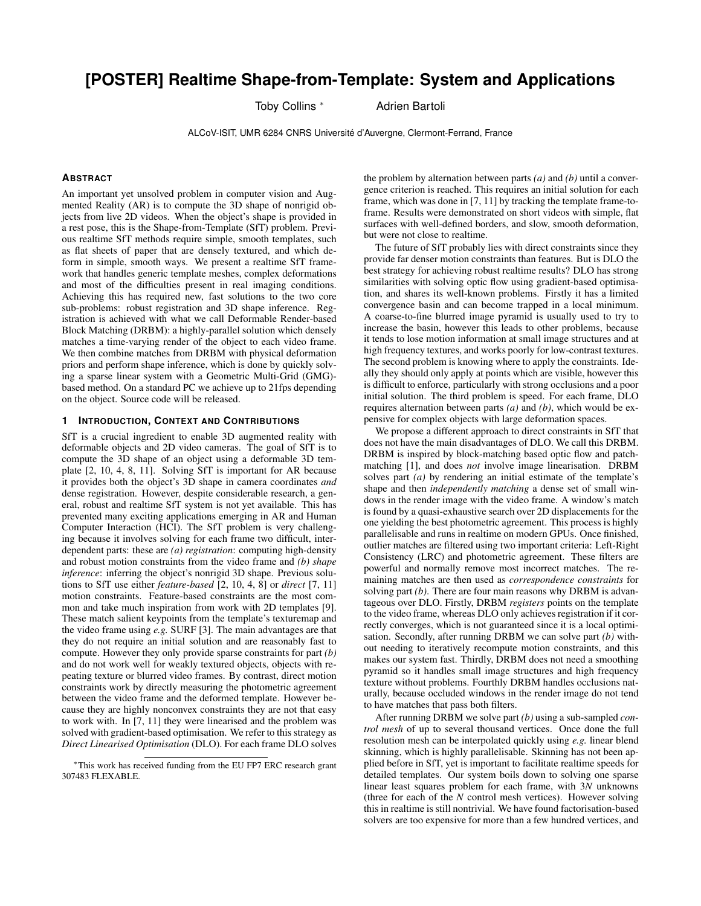# **[POSTER] Realtime Shape-from-Template: System and Applications**

Toby Collins \* Adrien Bartoli

ALCoV-ISIT, UMR 6284 CNRS Universite d'Auvergne, Clermont-Ferrand, France ´

## **ABSTRACT**

An important yet unsolved problem in computer vision and Augmented Reality (AR) is to compute the 3D shape of nonrigid objects from live 2D videos. When the object's shape is provided in a rest pose, this is the Shape-from-Template (SfT) problem. Previous realtime SfT methods require simple, smooth templates, such as flat sheets of paper that are densely textured, and which deform in simple, smooth ways. We present a realtime SfT framework that handles generic template meshes, complex deformations and most of the difficulties present in real imaging conditions. Achieving this has required new, fast solutions to the two core sub-problems: robust registration and 3D shape inference. Registration is achieved with what we call Deformable Render-based Block Matching (DRBM): a highly-parallel solution which densely matches a time-varying render of the object to each video frame. We then combine matches from DRBM with physical deformation priors and perform shape inference, which is done by quickly solving a sparse linear system with a Geometric Multi-Grid (GMG) based method. On a standard PC we achieve up to 21fps depending on the object. Source code will be released.

## **1 INTRODUCTION, CONTEXT AND CONTRIBUTIONS**

SfT is a crucial ingredient to enable 3D augmented reality with deformable objects and 2D video cameras. The goal of SfT is to compute the 3D shape of an object using a deformable 3D template [2, 10, 4, 8, 11]. Solving SfT is important for AR because it provides both the object's 3D shape in camera coordinates *and* dense registration. However, despite considerable research, a general, robust and realtime SfT system is not yet available. This has prevented many exciting applications emerging in AR and Human Computer Interaction (HCI). The SfT problem is very challenging because it involves solving for each frame two difficult, interdependent parts: these are *(a) registration*: computing high-density and robust motion constraints from the video frame and *(b) shape inference*: inferring the object's nonrigid 3D shape. Previous solutions to SfT use either *feature-based* [2, 10, 4, 8] or *direct* [7, 11] motion constraints. Feature-based constraints are the most common and take much inspiration from work with 2D templates [9]. These match salient keypoints from the template's texturemap and the video frame using *e.g.* SURF [3]. The main advantages are that they do not require an initial solution and are reasonably fast to compute. However they only provide sparse constraints for part *(b)* and do not work well for weakly textured objects, objects with repeating texture or blurred video frames. By contrast, direct motion constraints work by directly measuring the photometric agreement between the video frame and the deformed template. However because they are highly nonconvex constraints they are not that easy to work with. In [7, 11] they were linearised and the problem was solved with gradient-based optimisation. We refer to this strategy as *Direct Linearised Optimisation* (DLO). For each frame DLO solves the problem by alternation between parts *(a)* and *(b)* until a convergence criterion is reached. This requires an initial solution for each frame, which was done in [7, 11] by tracking the template frame-toframe. Results were demonstrated on short videos with simple, flat surfaces with well-defined borders, and slow, smooth deformation, but were not close to realtime.

The future of SfT probably lies with direct constraints since they provide far denser motion constraints than features. But is DLO the best strategy for achieving robust realtime results? DLO has strong similarities with solving optic flow using gradient-based optimisation, and shares its well-known problems. Firstly it has a limited convergence basin and can become trapped in a local minimum. A coarse-to-fine blurred image pyramid is usually used to try to increase the basin, however this leads to other problems, because it tends to lose motion information at small image structures and at high frequency textures, and works poorly for low-contrast textures. The second problem is knowing where to apply the constraints. Ideally they should only apply at points which are visible, however this is difficult to enforce, particularly with strong occlusions and a poor initial solution. The third problem is speed. For each frame, DLO requires alternation between parts *(a)* and *(b)*, which would be expensive for complex objects with large deformation spaces.

We propose a different approach to direct constraints in SfT that does not have the main disadvantages of DLO. We call this DRBM. DRBM is inspired by block-matching based optic flow and patchmatching [1], and does *not* involve image linearisation. DRBM solves part *(a)* by rendering an initial estimate of the template's shape and then *independently matching* a dense set of small windows in the render image with the video frame. A window's match is found by a quasi-exhaustive search over 2D displacements for the one yielding the best photometric agreement. This process is highly parallelisable and runs in realtime on modern GPUs. Once finished, outlier matches are filtered using two important criteria: Left-Right Consistency (LRC) and photometric agreement. These filters are powerful and normally remove most incorrect matches. The remaining matches are then used as *correspondence constraints* for solving part *(b)*. There are four main reasons why DRBM is advantageous over DLO. Firstly, DRBM *registers* points on the template to the video frame, whereas DLO only achieves registration if it correctly converges, which is not guaranteed since it is a local optimisation. Secondly, after running DRBM we can solve part *(b)* without needing to iteratively recompute motion constraints, and this makes our system fast. Thirdly, DRBM does not need a smoothing pyramid so it handles small image structures and high frequency texture without problems. Fourthly DRBM handles occlusions naturally, because occluded windows in the render image do not tend to have matches that pass both filters.

After running DRBM we solve part *(b)* using a sub-sampled *control mesh* of up to several thousand vertices. Once done the full resolution mesh can be interpolated quickly using *e.g.* linear blend skinning, which is highly parallelisable. Skinning has not been applied before in SfT, yet is important to facilitate realtime speeds for detailed templates. Our system boils down to solving one sparse linear least squares problem for each frame, with 3*N* unknowns (three for each of the *N* control mesh vertices). However solving this in realtime is still nontrivial. We have found factorisation-based solvers are too expensive for more than a few hundred vertices, and

<sup>∗</sup>This work has received funding from the EU FP7 ERC research grant 307483 FLEXABLE.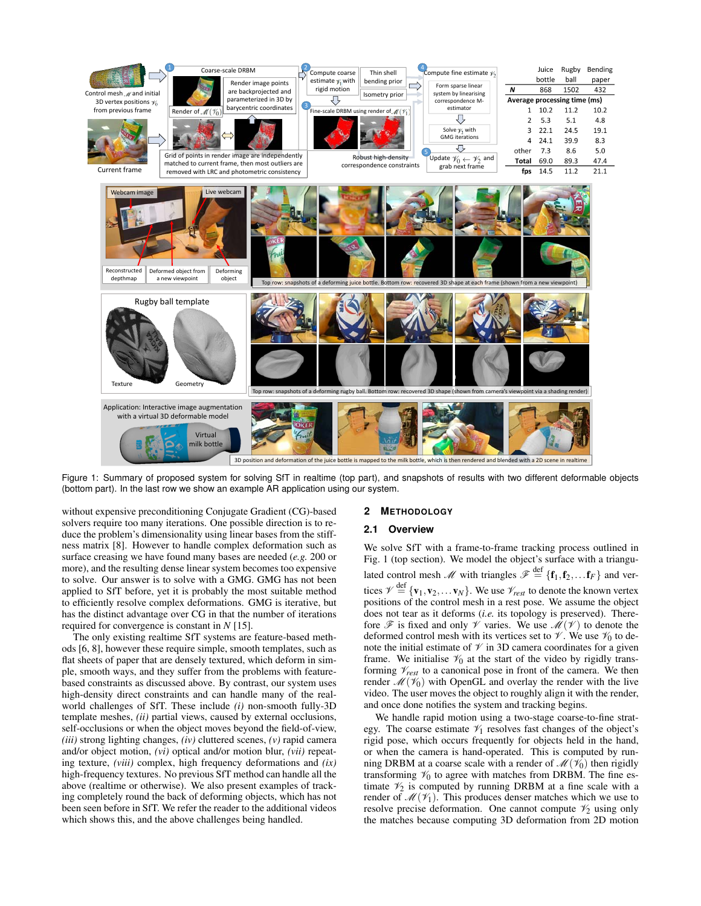

Figure 1: Summary of proposed system for solving SfT in realtime (top part), and snapshots of results with two different deformable objects (bottom part). In the last row we show an example AR application using our system.

without expensive preconditioning Conjugate Gradient (CG)-based solvers require too many iterations. One possible direction is to reduce the problem's dimensionality using linear bases from the stiffness matrix [8]. However to handle complex deformation such as surface creasing we have found many bases are needed (*e.g.* 200 or more), and the resulting dense linear system becomes too expensive to solve. Our answer is to solve with a GMG. GMG has not been applied to SfT before, yet it is probably the most suitable method to efficiently resolve complex deformations. GMG is iterative, but has the distinct advantage over CG in that the number of iterations required for convergence is constant in *N* [15].

The only existing realtime SfT systems are feature-based methods [6, 8], however these require simple, smooth templates, such as flat sheets of paper that are densely textured, which deform in simple, smooth ways, and they suffer from the problems with featurebased constraints as discussed above. By contrast, our system uses high-density direct constraints and can handle many of the realworld challenges of SfT. These include *(i)* non-smooth fully-3D template meshes, *(ii)* partial views, caused by external occlusions, self-occlusions or when the object moves beyond the field-of-view, *(iii)* strong lighting changes, *(iv)* cluttered scenes, *(v)* rapid camera and/or object motion, *(vi)* optical and/or motion blur, *(vii)* repeating texture, *(viii)* complex, high frequency deformations and *(ix)* high-frequency textures. No previous SfT method can handle all the above (realtime or otherwise). We also present examples of tracking completely round the back of deforming objects, which has not been seen before in SfT. We refer the reader to the additional videos which shows this, and the above challenges being handled.

## **2 METHODOLOGY**

## **2.1 Overview**

We solve SfT with a frame-to-frame tracking process outlined in Fig. 1 (top section). We model the object's surface with a triangulated control mesh M with triangles  $\mathscr{F} \stackrel{\text{def}}{=} \{f_1, f_2, \ldots f_F\}$  and vertices  $\mathcal{V} \stackrel{\text{def}}{=} \{ \mathbf{v}_1, \mathbf{v}_2, \dots \mathbf{v}_N \}.$  We use  $\mathcal{V}_{rest}$  to denote the known vertex positions of the control mesh in a rest pose. We assume the object does not tear as it deforms (*i.e.* its topology is preserved). Therefore  $\mathscr F$  is fixed and only  $\mathscr V$  varies. We use  $\mathscr M(\mathscr V)$  to denote the deformed control mesh with its vertices set to  $\mathcal V$ . We use  $\mathcal V_0$  to denote the initial estimate of  $\mathcal V$  in 3D camera coordinates for a given frame. We initialise  $\mathcal{V}_0$  at the start of the video by rigidly transforming  $\mathcal{V}_{rest}$  to a canonical pose in front of the camera. We then render  $\mathcal{M}(\mathcal{V}_0)$  with OpenGL and overlay the render with the live video. The user moves the object to roughly align it with the render, and once done notifies the system and tracking begins.

We handle rapid motion using a two-stage coarse-to-fine strategy. The coarse estimate  $\mathcal{V}_1$  resolves fast changes of the object's rigid pose, which occurs frequently for objects held in the hand, or when the camera is hand-operated. This is computed by running DRBM at a coarse scale with a render of  $\mathcal{M}(\mathcal{V}_0)$  then rigidly transforming  $\mathcal{V}_0$  to agree with matches from DRBM. The fine estimate  $\mathcal{V}_2$  is computed by running DRBM at a fine scale with a render of  $\mathcal{M}(\mathcal{V}_1)$ . This produces denser matches which we use to resolve precise deformation. One cannot compute  $\mathcal{V}_2$  using only the matches because computing 3D deformation from 2D motion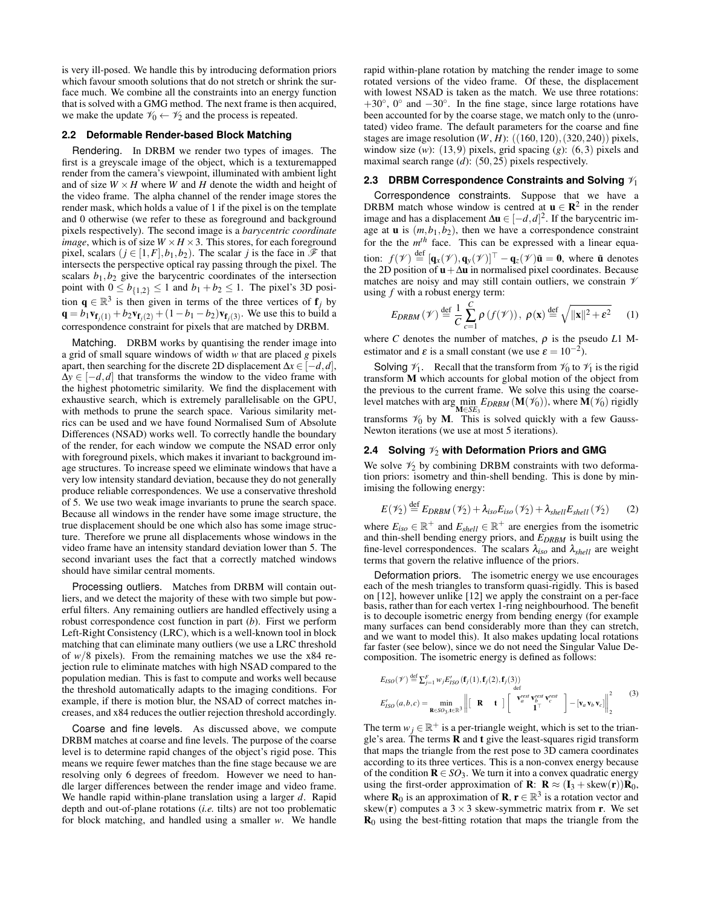is very ill-posed. We handle this by introducing deformation priors which favour smooth solutions that do not stretch or shrink the surface much. We combine all the constraints into an energy function that is solved with a GMG method. The next frame is then acquired, we make the update  $\mathcal{V}_0 \leftarrow \mathcal{V}_2$  and the process is repeated.

### **2.2 Deformable Render-based Block Matching**

Rendering. In DRBM we render two types of images. The first is a greyscale image of the object, which is a texturemapped render from the camera's viewpoint, illuminated with ambient light and of size  $W \times H$  where *W* and *H* denote the width and height of the video frame. The alpha channel of the render image stores the render mask, which holds a value of 1 if the pixel is on the template and 0 otherwise (we refer to these as foreground and background pixels respectively). The second image is a *barycentric coordinate image*, which is of size  $W \times H \times 3$ . This stores, for each foreground pixel, scalars  $(j \in [1, F], b_1, b_2)$ . The scalar *j* is the face in  $\mathscr F$  that intersects the perspective optical ray passing through the pixel. The scalars  $b_1$ ,  $b_2$  give the barycentric coordinates of the intersection point with  $0 \leq b_{\{1,2\}} \leq 1$  and  $b_1 + b_2 \leq 1$ . The pixel's 3D position  $\mathbf{q} \in \mathbb{R}^3$  is then given in terms of the three vertices of  $\mathbf{f}_j$  by  $\mathbf{q} = b_1 \mathbf{v}_{\mathbf{f}_j(1)} + b_2 \mathbf{v}_{\mathbf{f}_j(2)} + (1 - b_1 - b_2) \mathbf{v}_{\mathbf{f}_j(3)}$ . We use this to build a correspondence constraint for pixels that are matched by DRBM.

Matching. DRBM works by quantising the render image into a grid of small square windows of width *w* that are placed *g* pixels apart, then searching for the discrete 2D displacement  $\Delta x \in [-d, d]$ ,  $\Delta y \in [-d, d]$  that transforms the window to the video frame with the highest photometric similarity. We find the displacement with exhaustive search, which is extremely parallelisable on the GPU, with methods to prune the search space. Various similarity metrics can be used and we have found Normalised Sum of Absolute Differences (NSAD) works well. To correctly handle the boundary of the render, for each window we compute the NSAD error only with foreground pixels, which makes it invariant to background image structures. To increase speed we eliminate windows that have a very low intensity standard deviation, because they do not generally produce reliable correspondences. We use a conservative threshold of 5. We use two weak image invariants to prune the search space. Because all windows in the render have some image structure, the true displacement should be one which also has some image structure. Therefore we prune all displacements whose windows in the video frame have an intensity standard deviation lower than 5. The second invariant uses the fact that a correctly matched windows should have similar central moments.

Processing outliers. Matches from DRBM will contain outliers, and we detect the majority of these with two simple but powerful filters. Any remaining outliers are handled effectively using a robust correspondence cost function in part (*b*). First we perform Left-Right Consistency (LRC), which is a well-known tool in block matching that can eliminate many outliers (we use a LRC threshold of *w*/8 pixels). From the remaining matches we use the x84 rejection rule to eliminate matches with high NSAD compared to the population median. This is fast to compute and works well because the threshold automatically adapts to the imaging conditions. For example, if there is motion blur, the NSAD of correct matches increases, and x84 reduces the outlier rejection threshold accordingly.

Coarse and fine levels. As discussed above, we compute DRBM matches at coarse and fine levels. The purpose of the coarse level is to determine rapid changes of the object's rigid pose. This means we require fewer matches than the fine stage because we are resolving only 6 degrees of freedom. However we need to handle larger differences between the render image and video frame. We handle rapid within-plane translation using a larger *d*. Rapid depth and out-of-plane rotations (*i.e.* tilts) are not too problematic for block matching, and handled using a smaller *w*. We handle rapid within-plane rotation by matching the render image to some rotated versions of the video frame. Of these, the displacement with lowest NSAD is taken as the match. We use three rotations:  $+30^\circ$ , 0° and  $-30^\circ$ . In the fine stage, since large rotations have been accounted for by the coarse stage, we match only to the (unrotated) video frame. The default parameters for the coarse and fine stages are image resolution (*W*, *H*): ((160,120),(320,240)) pixels, window size (*w*): (13,9) pixels, grid spacing (*g*): (6,3) pixels and maximal search range (*d*): (50,25) pixels respectively.

#### **2.3 DRBM Correspondence Constraints and Solving**  $\mathcal{V}_1$

Correspondence constraints. Suppose that we have a DRBM match whose window is centred at  $\mathbf{u} \in \mathbb{R}^2$  in the render image and has a displacement  $\Delta$ **u** ∈  $[-d, d]^2$ . If the barycentric image at  $\mathbf{u}$  is  $(m, b_1, b_2)$ , then we have a correspondence constraint for the the  $m<sup>th</sup>$  face. This can be expressed with a linear equation:  $f(\mathcal{V}) \stackrel{\text{def}}{=} [\mathbf{q}_x(\mathcal{V}), \mathbf{q}_y(\mathcal{V})]^\top - \mathbf{q}_z(\mathcal{V})\tilde{\mathbf{u}} = \mathbf{0}$ , where  $\tilde{\mathbf{u}}$  denotes the 2D position of  $u + \Delta u$  in normalised pixel coordinates. Because matches are noisy and may still contain outliers, we constrain  $\mathcal V$ using *f* with a robust energy term:

$$
E_{DRBM}(\mathscr{V}) \stackrel{\text{def}}{=} \frac{1}{C} \sum_{c=1}^{C} \rho\left(f(\mathscr{V})\right), \ \rho(\mathbf{x}) \stackrel{\text{def}}{=} \sqrt{\|\mathbf{x}\|^2 + \varepsilon^2} \tag{1}
$$

where *C* denotes the number of matches,  $\rho$  is the pseudo *L*1 Mestimator and  $\varepsilon$  is a small constant (we use  $\varepsilon = 10^{-2}$ ).

Solving  $\mathcal{V}_1$ . Recall that the transform from  $\mathcal{V}_0$  to  $\mathcal{V}_1$  is the rigid transform M which accounts for global motion of the object from the previous to the current frame. We solve this using the coarselevel matches with arg min  $E_{DRBM}(\mathbf{M}(\mathcal{V}_0))$ , where  $\mathbf{M}(\mathcal{V}_0)$  rigidly transforms  $\mathcal{V}_0$  by M. This is solved quickly with a few Gauss-Newton iterations (we use at most 5 iterations).

#### **2.4 Solving**  $\mathcal{V}_2$  **with Deformation Priors and GMG**

We solve  $\mathcal{V}_2$  by combining DRBM constraints with two deformation priors: isometry and thin-shell bending. This is done by minimising the following energy:

$$
E(\mathscr{V}_2) \stackrel{\text{def}}{=} E_{DRBM}(\mathscr{V}_2) + \lambda_{iso} E_{iso}(\mathscr{V}_2) + \lambda_{shell} E_{shell}(\mathscr{V}_2)
$$
 (2)

where  $E_{iso} \in \mathbb{R}^+$  and  $E_{shell} \in \mathbb{R}^+$  are energies from the isometric and thin-shell bending energy priors, and *EDRBM* is built using the fine-level correspondences. The scalars  $\lambda_{iso}$  and  $\lambda_{shell}$  are weight terms that govern the relative influence of the priors.

Deformation priors. The isometric energy we use encourages each of the mesh triangles to transform quasi-rigidly. This is based on [12], however unlike [12] we apply the constraint on a per-face basis, rather than for each vertex 1-ring neighbourhood. The benefit is to decouple isometric energy from bending energy (for example many surfaces can bend considerably more than they can stretch, and we want to model this). It also makes updating local rotations far faster (see below), since we do not need the Singular Value Decomposition. The isometric energy is defined as follows:

$$
E_{ISO}(\mathscr{V}) \stackrel{\text{def}}{=} \sum_{j=1}^{F} w_j E'_{ISO}(\mathbf{f}_j(1), \mathbf{f}_j(2), \mathbf{f}_j(3))
$$
  

$$
E'_{ISO}(a, b, c) = \min_{\mathbf{R} \in SO_3, \mathbf{f} \in \mathbb{R}^3} \left\| \begin{bmatrix} \mathbf{R} & \mathbf{t} \end{bmatrix} \begin{bmatrix} \mathbf{v}_a^{rest} \mathbf{v}_b^{rest} \mathbf{v}_c^{rest} \\ \mathbf{1}^{\mathbf{T}} \end{bmatrix} - \begin{bmatrix} \mathbf{v}_a \mathbf{v}_b \mathbf{v}_c \end{bmatrix} \right\|_2^2
$$
 (3)

The term  $w_j \in \mathbb{R}^+$  is a per-triangle weight, which is set to the triangle's area. The terms  **and**  $**t**$  **give the least-squares rigid transform** that maps the triangle from the rest pose to 3D camera coordinates according to its three vertices. This is a non-convex energy because of the condition  $\mathbf{R} \in SO_3$ . We turn it into a convex quadratic energy using the first-order approximation of **R**:  $\mathbf{R} \approx (\mathbf{I}_3 + \text{skew}(\mathbf{r}))\mathbf{R}_0$ , where  $\mathbf{R}_0$  is an approximation of  $\mathbf{R}, \mathbf{r} \in \mathbb{R}^3$  is a rotation vector and skew(**r**) computes a  $3 \times 3$  skew-symmetric matrix from **r**. We set  $\mathbf{R}_0$  using the best-fitting rotation that maps the triangle from the